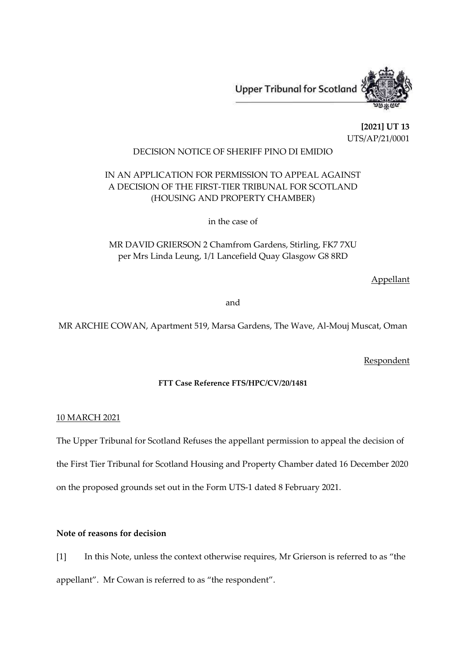

**[2021] UT 13** UTS/AP/21/0001

## DECISION NOTICE OF SHERIFF PINO DI EMIDIO

# IN AN APPLICATION FOR PERMISSION TO APPEAL AGAINST A DECISION OF THE FIRST-TIER TRIBUNAL FOR SCOTLAND (HOUSING AND PROPERTY CHAMBER)

in the case of

MR DAVID GRIERSON 2 Chamfrom Gardens, Stirling, FK7 7XU per Mrs Linda Leung, 1/1 Lancefield Quay Glasgow G8 8RD

Appellant

and

MR ARCHIE COWAN, Apartment 519, Marsa Gardens, The Wave, Al-Mouj Muscat, Oman

Respondent

## **FTT Case Reference FTS/HPC/CV/20/1481**

#### 10 MARCH 2021

The Upper Tribunal for Scotland Refuses the appellant permission to appeal the decision of

the First Tier Tribunal for Scotland Housing and Property Chamber dated 16 December 2020

on the proposed grounds set out in the Form UTS-1 dated 8 February 2021.

## **Note of reasons for decision**

[1] In this Note, unless the context otherwise requires, Mr Grierson is referred to as "the appellant". Mr Cowan is referred to as "the respondent".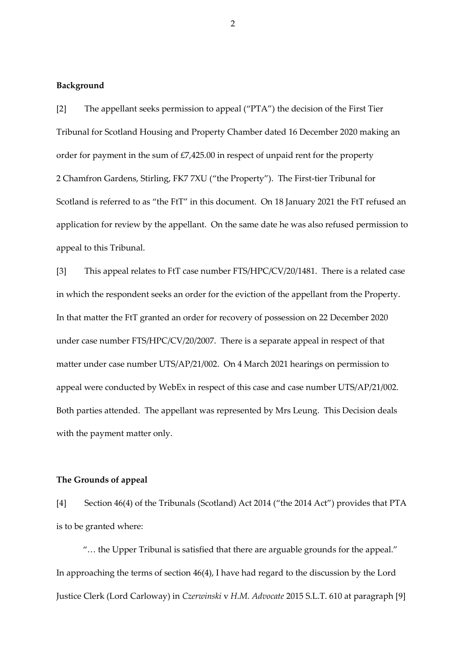#### **Background**

[2] The appellant seeks permission to appeal ("PTA") the decision of the First Tier Tribunal for Scotland Housing and Property Chamber dated 16 December 2020 making an order for payment in the sum of £7,425.00 in respect of unpaid rent for the property 2 Chamfron Gardens, Stirling, FK7 7XU ("the Property"). The First-tier Tribunal for Scotland is referred to as "the FtT" in this document. On 18 January 2021 the FtT refused an application for review by the appellant. On the same date he was also refused permission to appeal to this Tribunal.

[3] This appeal relates to FtT case number FTS/HPC/CV/20/1481. There is a related case in which the respondent seeks an order for the eviction of the appellant from the Property. In that matter the FtT granted an order for recovery of possession on 22 December 2020 under case number FTS/HPC/CV/20/2007. There is a separate appeal in respect of that matter under case number UTS/AP/21/002. On 4 March 2021 hearings on permission to appeal were conducted by WebEx in respect of this case and case number UTS/AP/21/002. Both parties attended. The appellant was represented by Mrs Leung. This Decision deals with the payment matter only.

#### **The Grounds of appeal**

[4] Section 46(4) of the Tribunals (Scotland) Act 2014 ("the 2014 Act") provides that PTA is to be granted where:

"… the Upper Tribunal is satisfied that there are arguable grounds for the appeal." In approaching the terms of section 46(4), I have had regard to the discussion by the Lord Justice Clerk (Lord Carloway) in *Czerwinski* v *H.M. Advocate* 2015 S.L.T. 610 at paragraph [9]

2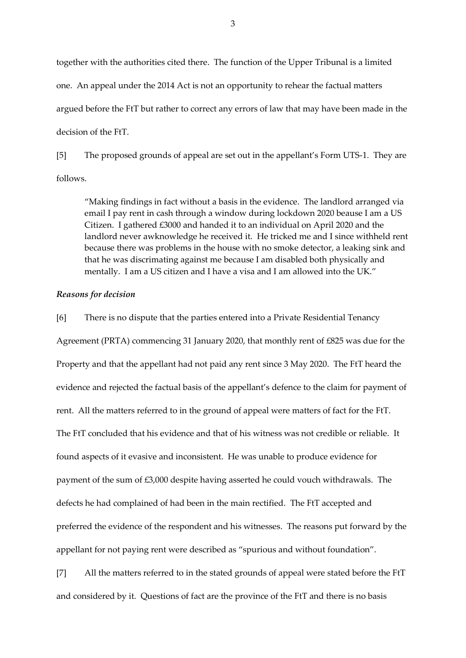together with the authorities cited there. The function of the Upper Tribunal is a limited one. An appeal under the 2014 Act is not an opportunity to rehear the factual matters argued before the FtT but rather to correct any errors of law that may have been made in the decision of the FtT.

[5] The proposed grounds of appeal are set out in the appellant's Form UTS-1. They are follows.

"Making findings in fact without a basis in the evidence. The landlord arranged via email I pay rent in cash through a window during lockdown 2020 beause I am a US Citizen. I gathered £3000 and handed it to an individual on April 2020 and the landlord never awknowledge he received it. He tricked me and I since withheld rent because there was problems in the house with no smoke detector, a leaking sink and that he was discrimating against me because I am disabled both physically and mentally. I am a US citizen and I have a visa and I am allowed into the UK."

### *Reasons for decision*

[6] There is no dispute that the parties entered into a Private Residential Tenancy Agreement (PRTA) commencing 31 January 2020, that monthly rent of £825 was due for the Property and that the appellant had not paid any rent since 3 May 2020. The FtT heard the evidence and rejected the factual basis of the appellant's defence to the claim for payment of rent. All the matters referred to in the ground of appeal were matters of fact for the FtT. The FtT concluded that his evidence and that of his witness was not credible or reliable. It found aspects of it evasive and inconsistent. He was unable to produce evidence for payment of the sum of £3,000 despite having asserted he could vouch withdrawals. The defects he had complained of had been in the main rectified. The FtT accepted and preferred the evidence of the respondent and his witnesses. The reasons put forward by the appellant for not paying rent were described as "spurious and without foundation".

[7] All the matters referred to in the stated grounds of appeal were stated before the FtT and considered by it. Questions of fact are the province of the FtT and there is no basis